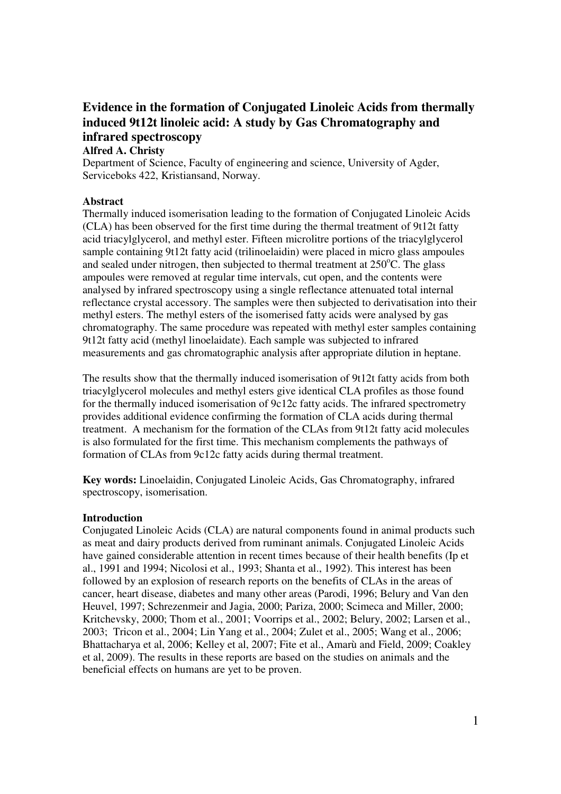# **Evidence in the formation of Conjugated Linoleic Acids from thermally induced 9t12t linoleic acid: A study by Gas Chromatography and infrared spectroscopy**

## **Alfred A. Christy**

Department of Science, Faculty of engineering and science, University of Agder, Serviceboks 422, Kristiansand, Norway.

## **Abstract**

Thermally induced isomerisation leading to the formation of Conjugated Linoleic Acids (CLA) has been observed for the first time during the thermal treatment of 9t12t fatty acid triacylglycerol, and methyl ester. Fifteen microlitre portions of the triacylglycerol sample containing 9t12t fatty acid (trilinoelaidin) were placed in micro glass ampoules and sealed under nitrogen, then subjected to thermal treatment at  $250^{\circ}$ C. The glass ampoules were removed at regular time intervals, cut open, and the contents were analysed by infrared spectroscopy using a single reflectance attenuated total internal reflectance crystal accessory. The samples were then subjected to derivatisation into their methyl esters. The methyl esters of the isomerised fatty acids were analysed by gas chromatography. The same procedure was repeated with methyl ester samples containing 9t12t fatty acid (methyl linoelaidate). Each sample was subjected to infrared measurements and gas chromatographic analysis after appropriate dilution in heptane.

The results show that the thermally induced isomerisation of 9t12t fatty acids from both triacylglycerol molecules and methyl esters give identical CLA profiles as those found for the thermally induced isomerisation of 9c12c fatty acids. The infrared spectrometry provides additional evidence confirming the formation of CLA acids during thermal treatment. A mechanism for the formation of the CLAs from 9t12t fatty acid molecules is also formulated for the first time. This mechanism complements the pathways of formation of CLAs from 9c12c fatty acids during thermal treatment.

**Key words:** Linoelaidin, Conjugated Linoleic Acids, Gas Chromatography, infrared spectroscopy, isomerisation.

## **Introduction**

Conjugated Linoleic Acids (CLA) are natural components found in animal products such as meat and dairy products derived from ruminant animals. Conjugated Linoleic Acids have gained considerable attention in recent times because of their health benefits (Ip et al., 1991 and 1994; Nicolosi et al., 1993; Shanta et al., 1992). This interest has been followed by an explosion of research reports on the benefits of CLAs in the areas of cancer, heart disease, diabetes and many other areas (Parodi, 1996; Belury and Van den Heuvel, 1997; Schrezenmeir and Jagia, 2000; Pariza, 2000; Scimeca and Miller, 2000; Kritchevsky, 2000; Thom et al., 2001; Voorrips et al., 2002; Belury, 2002; Larsen et al., 2003; Tricon et al., 2004; Lin Yang et al., 2004; Zulet et al., 2005; Wang et al., 2006; Bhattacharya et al, 2006; Kelley et al, 2007; Fite et al., Amarù and Field, 2009; Coakley et al, 2009). The results in these reports are based on the studies on animals and the beneficial effects on humans are yet to be proven.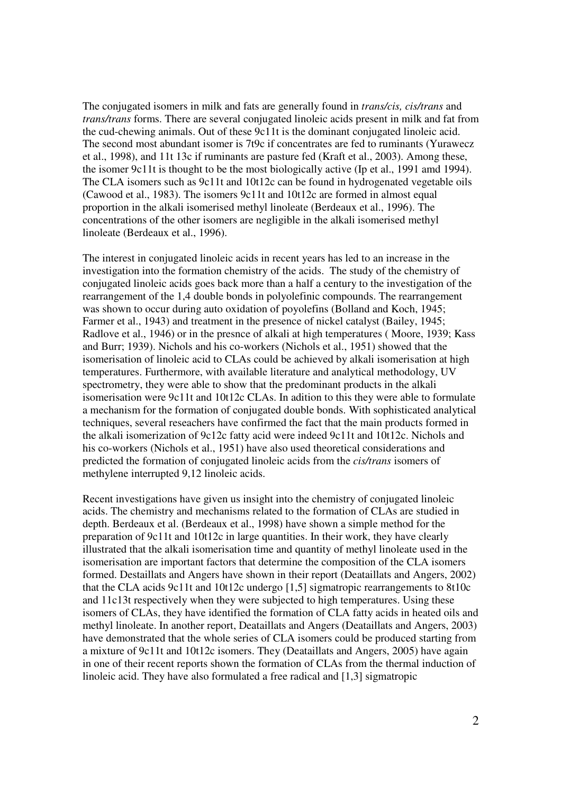The conjugated isomers in milk and fats are generally found in *trans/cis, cis/trans* and *trans/trans* forms. There are several conjugated linoleic acids present in milk and fat from the cud-chewing animals. Out of these 9c11t is the dominant conjugated linoleic acid. The second most abundant isomer is 7t9c if concentrates are fed to ruminants (Yurawecz et al., 1998), and 11t 13c if ruminants are pasture fed (Kraft et al., 2003). Among these, the isomer 9c11t is thought to be the most biologically active (Ip et al., 1991 amd 1994). The CLA isomers such as 9c11t and 10t12c can be found in hydrogenated vegetable oils (Cawood et al., 1983). The isomers 9c11t and 10t12c are formed in almost equal proportion in the alkali isomerised methyl linoleate (Berdeaux et al., 1996). The concentrations of the other isomers are negligible in the alkali isomerised methyl linoleate (Berdeaux et al., 1996).

The interest in conjugated linoleic acids in recent years has led to an increase in the investigation into the formation chemistry of the acids. The study of the chemistry of conjugated linoleic acids goes back more than a half a century to the investigation of the rearrangement of the 1,4 double bonds in polyolefinic compounds. The rearrangement was shown to occur during auto oxidation of poyolefins (Bolland and Koch, 1945; Farmer et al., 1943) and treatment in the presence of nickel catalyst (Bailey, 1945; Radlove et al., 1946) or in the presnce of alkali at high temperatures ( Moore, 1939; Kass and Burr; 1939). Nichols and his co-workers (Nichols et al., 1951) showed that the isomerisation of linoleic acid to CLAs could be achieved by alkali isomerisation at high temperatures. Furthermore, with available literature and analytical methodology, UV spectrometry, they were able to show that the predominant products in the alkali isomerisation were 9c11t and 10t12c CLAs. In adition to this they were able to formulate a mechanism for the formation of conjugated double bonds. With sophisticated analytical techniques, several reseachers have confirmed the fact that the main products formed in the alkali isomerization of 9c12c fatty acid were indeed 9c11t and 10t12c. Nichols and his co-workers (Nichols et al., 1951) have also used theoretical considerations and predicted the formation of conjugated linoleic acids from the *cis/trans* isomers of methylene interrupted 9,12 linoleic acids.

Recent investigations have given us insight into the chemistry of conjugated linoleic acids. The chemistry and mechanisms related to the formation of CLAs are studied in depth. Berdeaux et al. (Berdeaux et al., 1998) have shown a simple method for the preparation of 9c11t and 10t12c in large quantities. In their work, they have clearly illustrated that the alkali isomerisation time and quantity of methyl linoleate used in the isomerisation are important factors that determine the composition of the CLA isomers formed. Destaillats and Angers have shown in their report (Deataillats and Angers, 2002) that the CLA acids 9c11t and 10t12c undergo [1,5] sigmatropic rearrangements to 8t10c and 11c13t respectively when they were subjected to high temperatures. Using these isomers of CLAs, they have identified the formation of CLA fatty acids in heated oils and methyl linoleate. In another report, Deataillats and Angers (Deataillats and Angers, 2003) have demonstrated that the whole series of CLA isomers could be produced starting from a mixture of 9c11t and 10t12c isomers. They (Deataillats and Angers, 2005) have again in one of their recent reports shown the formation of CLAs from the thermal induction of linoleic acid. They have also formulated a free radical and [1,3] sigmatropic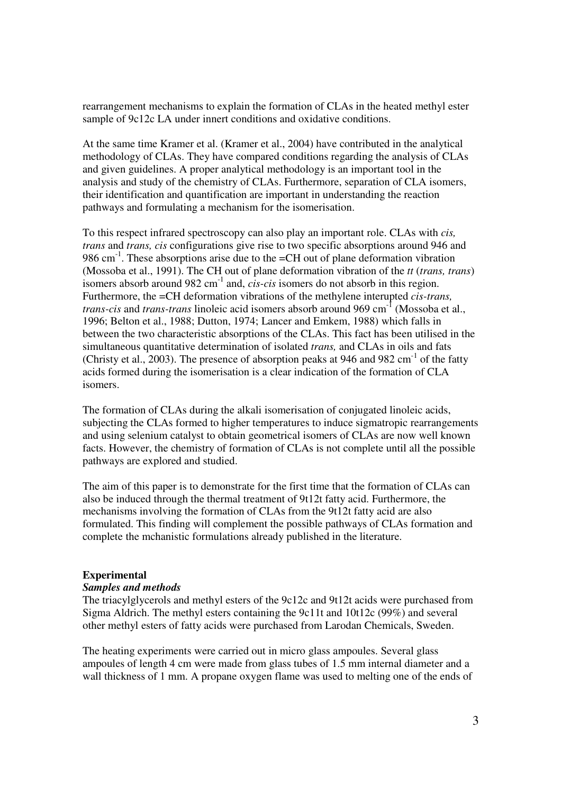rearrangement mechanisms to explain the formation of CLAs in the heated methyl ester sample of 9c12c LA under innert conditions and oxidative conditions.

At the same time Kramer et al. (Kramer et al., 2004) have contributed in the analytical methodology of CLAs. They have compared conditions regarding the analysis of CLAs and given guidelines. A proper analytical methodology is an important tool in the analysis and study of the chemistry of CLAs. Furthermore, separation of CLA isomers, their identification and quantification are important in understanding the reaction pathways and formulating a mechanism for the isomerisation.

To this respect infrared spectroscopy can also play an important role. CLAs with *cis, trans* and *trans, cis* configurations give rise to two specific absorptions around 946 and 986 cm<sup>-1</sup>. These absorptions arise due to the  $=CH$  out of plane deformation vibration (Mossoba et al., 1991). The CH out of plane deformation vibration of the *tt* (*trans, trans*) isomers absorb around 982 cm-1 and, *cis-cis* isomers do not absorb in this region. Furthermore, the =CH deformation vibrations of the methylene interupted *cis-trans, trans-cis* and *trans-trans* linoleic acid isomers absorb around 969 cm<sup>-1</sup> (Mossoba et al., 1996; Belton et al., 1988; Dutton, 1974; Lancer and Emkem, 1988) which falls in between the two characteristic absorptions of the CLAs. This fact has been utilised in the simultaneous quantitative determination of isolated *trans,* and CLAs in oils and fats (Christy et al., 2003). The presence of absorption peaks at 946 and 982 cm<sup>-1</sup> of the fatty acids formed during the isomerisation is a clear indication of the formation of CLA isomers.

The formation of CLAs during the alkali isomerisation of conjugated linoleic acids, subjecting the CLAs formed to higher temperatures to induce sigmatropic rearrangements and using selenium catalyst to obtain geometrical isomers of CLAs are now well known facts. However, the chemistry of formation of CLAs is not complete until all the possible pathways are explored and studied.

The aim of this paper is to demonstrate for the first time that the formation of CLAs can also be induced through the thermal treatment of 9t12t fatty acid. Furthermore, the mechanisms involving the formation of CLAs from the 9t12t fatty acid are also formulated. This finding will complement the possible pathways of CLAs formation and complete the mchanistic formulations already published in the literature.

#### **Experimental**

#### *Samples and methods*

The triacylglycerols and methyl esters of the 9c12c and 9t12t acids were purchased from Sigma Aldrich. The methyl esters containing the 9c11t and 10t12c (99%) and several other methyl esters of fatty acids were purchased from Larodan Chemicals, Sweden.

The heating experiments were carried out in micro glass ampoules. Several glass ampoules of length 4 cm were made from glass tubes of 1.5 mm internal diameter and a wall thickness of 1 mm. A propane oxygen flame was used to melting one of the ends of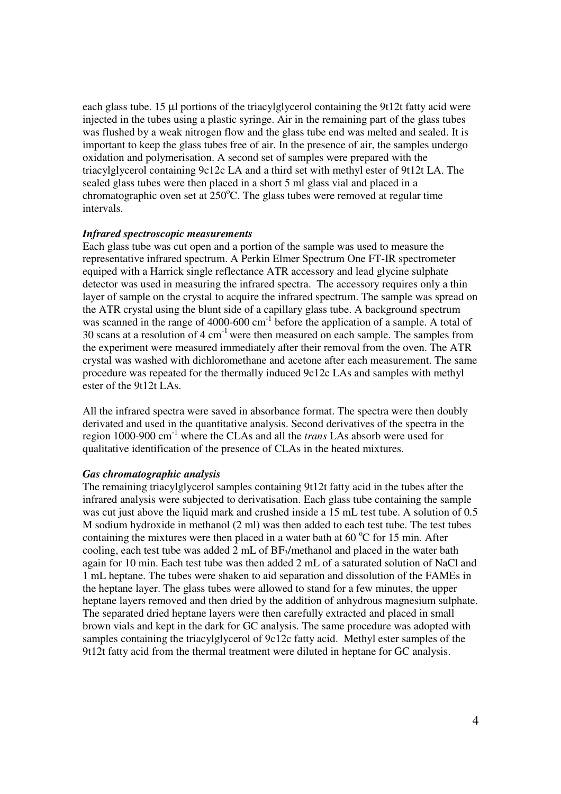each glass tube. 15 µl portions of the triacylglycerol containing the 9t12t fatty acid were injected in the tubes using a plastic syringe. Air in the remaining part of the glass tubes was flushed by a weak nitrogen flow and the glass tube end was melted and sealed. It is important to keep the glass tubes free of air. In the presence of air, the samples undergo oxidation and polymerisation. A second set of samples were prepared with the triacylglycerol containing 9c12c LA and a third set with methyl ester of 9t12t LA. The sealed glass tubes were then placed in a short 5 ml glass vial and placed in a chromatographic oven set at  $250^{\circ}$ C. The glass tubes were removed at regular time intervals.

## *Infrared spectroscopic measurements*

Each glass tube was cut open and a portion of the sample was used to measure the representative infrared spectrum. A Perkin Elmer Spectrum One FT-IR spectrometer equiped with a Harrick single reflectance ATR accessory and lead glycine sulphate detector was used in measuring the infrared spectra. The accessory requires only a thin layer of sample on the crystal to acquire the infrared spectrum. The sample was spread on the ATR crystal using the blunt side of a capillary glass tube. A background spectrum was scanned in the range of 4000-600 cm<sup>-1</sup> before the application of a sample. A total of  $30$  scans at a resolution of  $4 \text{ cm}^{-1}$  were then measured on each sample. The samples from the experiment were measured immediately after their removal from the oven. The ATR crystal was washed with dichloromethane and acetone after each measurement. The same procedure was repeated for the thermally induced 9c12c LAs and samples with methyl ester of the 9t12t LAs.

All the infrared spectra were saved in absorbance format. The spectra were then doubly derivated and used in the quantitative analysis. Second derivatives of the spectra in the region 1000-900 cm-1 where the CLAs and all the *trans* LAs absorb were used for qualitative identification of the presence of CLAs in the heated mixtures.

#### *Gas chromatographic analysis*

The remaining triacylglycerol samples containing 9t12t fatty acid in the tubes after the infrared analysis were subjected to derivatisation. Each glass tube containing the sample was cut just above the liquid mark and crushed inside a 15 mL test tube. A solution of 0.5 M sodium hydroxide in methanol (2 ml) was then added to each test tube. The test tubes containing the mixtures were then placed in a water bath at  $60^{\circ}$ C for 15 min. After cooling, each test tube was added 2 mL of  $BF_3/methanol$  and placed in the water bath again for 10 min. Each test tube was then added 2 mL of a saturated solution of NaCl and 1 mL heptane. The tubes were shaken to aid separation and dissolution of the FAMEs in the heptane layer. The glass tubes were allowed to stand for a few minutes, the upper heptane layers removed and then dried by the addition of anhydrous magnesium sulphate. The separated dried heptane layers were then carefully extracted and placed in small brown vials and kept in the dark for GC analysis. The same procedure was adopted with samples containing the triacylglycerol of 9c12c fatty acid. Methyl ester samples of the 9t12t fatty acid from the thermal treatment were diluted in heptane for GC analysis.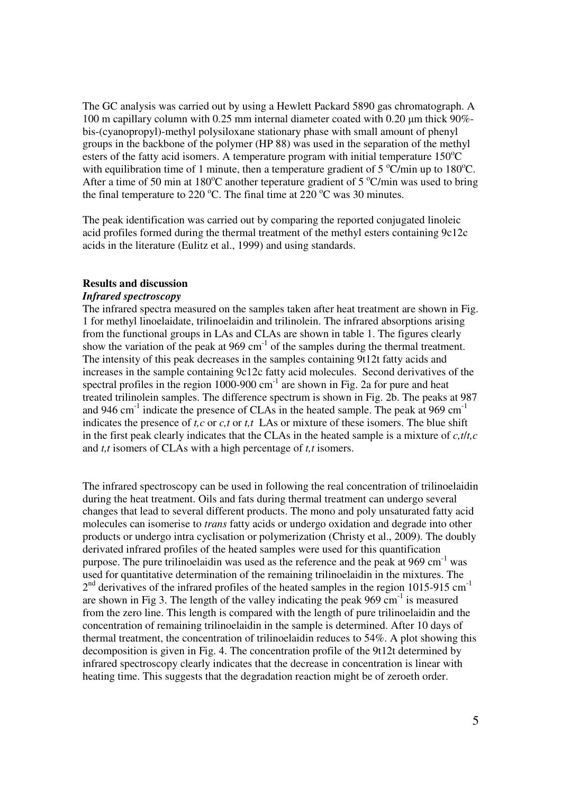The GC analysis was carried out by using a Hewlett Packard 5890 gas chromatograph. A 100 m capillary column with 0.25 mm internal diameter coated with 0.20 µm thick 90% bis-(cyanopropyl)-methyl polysiloxane stationary phase with small amount of phenyl groups in the backbone of the polymer (HP 88) was used in the separation of the methyl esters of the fatty acid isomers. A temperature program with initial temperature  $150^{\circ}$ C with equilibration time of 1 minute, then a temperature gradient of 5  $\degree$ C/min up to 180 $\degree$ C. After a time of 50 min at 180 $^{\circ}$ C another teperature gradient of 5  $^{\circ}$ C/min was used to bring the final temperature to 220  $^{\circ}$ C. The final time at 220  $^{\circ}$ C was 30 minutes.

The peak identification was carried out by comparing the reported conjugated linoleic acid profiles formed during the thermal treatment of the methyl esters containing 9c12c acids in the literature (Eulitz et al., 1999) and using standards.

## **Results and discussion**

## *Infrared spectroscopy*

The infrared spectra measured on the samples taken after heat treatment are shown in Fig. 1 for methyl linoelaidate, trilinoelaidin and trilinolein. The infrared absorptions arising from the functional groups in LAs and CLAs are shown in table 1. The figures clearly show the variation of the peak at  $969 \text{ cm}^{-1}$  of the samples during the thermal treatment. The intensity of this peak decreases in the samples containing 9t12t fatty acids and increases in the sample containing 9c12c fatty acid molecules. Second derivatives of the spectral profiles in the region  $1000-900$  cm<sup>-1</sup> are shown in Fig. 2a for pure and heat treated trilinolein samples. The difference spectrum is shown in Fig. 2b. The peaks at 987 and 946 cm<sup>-1</sup> indicate the presence of CLAs in the heated sample. The peak at 969 cm<sup>-1</sup> indicates the presence of *t,c* or *c,t* or *t,t* LAs or mixture of these isomers. The blue shift in the first peak clearly indicates that the CLAs in the heated sample is a mixture of *c,t*/*t,c* and *t,t* isomers of CLAs with a high percentage of *t,t* isomers.

The infrared spectroscopy can be used in following the real concentration of trilinoelaidin during the heat treatment. Oils and fats during thermal treatment can undergo several changes that lead to several different products. The mono and poly unsaturated fatty acid molecules can isomerise to *trans* fatty acids or undergo oxidation and degrade into other products or undergo intra cyclisation or polymerization (Christy et al., 2009). The doubly derivated infrared profiles of the heated samples were used for this quantification purpose. The pure trilinoelaidin was used as the reference and the peak at 969 cm<sup>-1</sup> was used for quantitative determination of the remaining trilinoelaidin in the mixtures. The  $2<sup>nd</sup>$  derivatives of the infrared profiles of the heated samples in the region 1015-915 cm<sup>-1</sup> are shown in Fig 3. The length of the valley indicating the peak  $969 \text{ cm}^{-1}$  is measured from the zero line. This length is compared with the length of pure trilinoelaidin and the concentration of remaining trilinoelaidin in the sample is determined. After 10 days of thermal treatment, the concentration of trilinoelaidin reduces to 54%. A plot showing this decomposition is given in Fig. 4. The concentration profile of the 9t12t determined by infrared spectroscopy clearly indicates that the decrease in concentration is linear with heating time. This suggests that the degradation reaction might be of zeroeth order.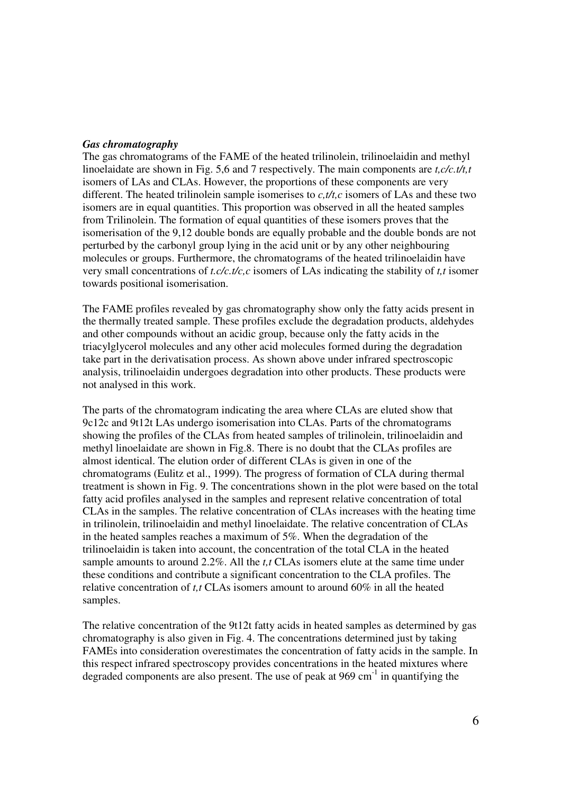## *Gas chromatography*

The gas chromatograms of the FAME of the heated trilinolein, trilinoelaidin and methyl linoelaidate are shown in Fig. 5,6 and 7 respectively. The main components are *t,c/c.t/t,t* isomers of LAs and CLAs. However, the proportions of these components are very different. The heated trilinolein sample isomerises to *c,t/t,c* isomers of LAs and these two isomers are in equal quantities. This proportion was observed in all the heated samples from Trilinolein. The formation of equal quantities of these isomers proves that the isomerisation of the 9,12 double bonds are equally probable and the double bonds are not perturbed by the carbonyl group lying in the acid unit or by any other neighbouring molecules or groups. Furthermore, the chromatograms of the heated trilinoelaidin have very small concentrations of *t.c/c.t/c,c* isomers of LAs indicating the stability of *t,t* isomer towards positional isomerisation.

The FAME profiles revealed by gas chromatography show only the fatty acids present in the thermally treated sample. These profiles exclude the degradation products, aldehydes and other compounds without an acidic group, because only the fatty acids in the triacylglycerol molecules and any other acid molecules formed during the degradation take part in the derivatisation process. As shown above under infrared spectroscopic analysis, trilinoelaidin undergoes degradation into other products. These products were not analysed in this work.

The parts of the chromatogram indicating the area where CLAs are eluted show that 9c12c and 9t12t LAs undergo isomerisation into CLAs. Parts of the chromatograms showing the profiles of the CLAs from heated samples of trilinolein, trilinoelaidin and methyl linoelaidate are shown in Fig.8. There is no doubt that the CLAs profiles are almost identical. The elution order of different CLAs is given in one of the chromatograms (Eulitz et al., 1999). The progress of formation of CLA during thermal treatment is shown in Fig. 9. The concentrations shown in the plot were based on the total fatty acid profiles analysed in the samples and represent relative concentration of total CLAs in the samples. The relative concentration of CLAs increases with the heating time in trilinolein, trilinoelaidin and methyl linoelaidate. The relative concentration of CLAs in the heated samples reaches a maximum of 5%. When the degradation of the trilinoelaidin is taken into account, the concentration of the total CLA in the heated sample amounts to around 2.2%. All the *t,t* CLAs isomers elute at the same time under these conditions and contribute a significant concentration to the CLA profiles. The relative concentration of *t,t* CLAs isomers amount to around 60% in all the heated samples.

The relative concentration of the 9t12t fatty acids in heated samples as determined by gas chromatography is also given in Fig. 4. The concentrations determined just by taking FAMEs into consideration overestimates the concentration of fatty acids in the sample. In this respect infrared spectroscopy provides concentrations in the heated mixtures where degraded components are also present. The use of peak at  $969 \text{ cm}^{-1}$  in quantifying the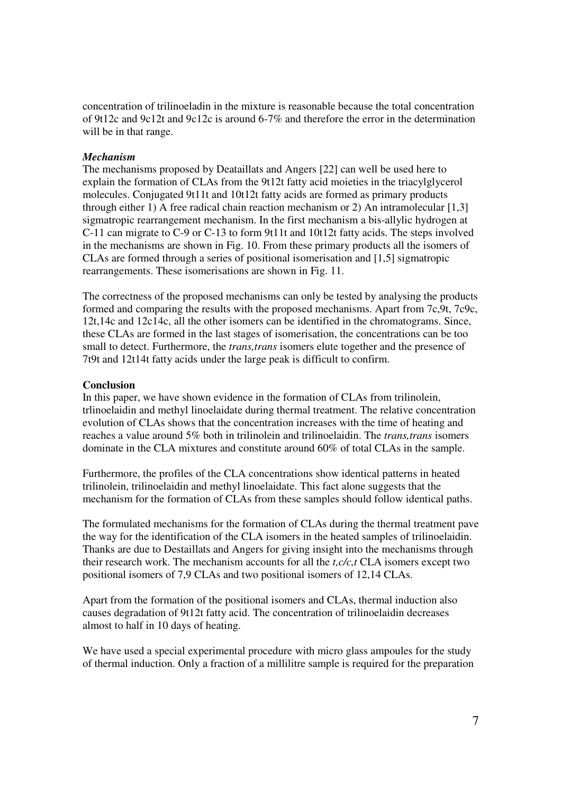concentration of trilinoeladin in the mixture is reasonable because the total concentration of 9t12c and 9c12t and 9c12c is around 6-7% and therefore the error in the determination will be in that range.

## *Mechanism*

The mechanisms proposed by Deataillats and Angers [22] can well be used here to explain the formation of CLAs from the 9t12t fatty acid moieties in the triacylglycerol molecules. Conjugated 9t11t and 10t12t fatty acids are formed as primary products through either 1) A free radical chain reaction mechanism or 2) An intramolecular [1,3] sigmatropic rearrangement mechanism. In the first mechanism a bis-allylic hydrogen at C-11 can migrate to C-9 or C-13 to form 9t11t and 10t12t fatty acids. The steps involved in the mechanisms are shown in Fig. 10. From these primary products all the isomers of CLAs are formed through a series of positional isomerisation and [1,5] sigmatropic rearrangements. These isomerisations are shown in Fig. 11.

The correctness of the proposed mechanisms can only be tested by analysing the products formed and comparing the results with the proposed mechanisms. Apart from 7c,9t, 7c9c, 12t,14c and 12c14c, all the other isomers can be identified in the chromatograms. Since, these CLAs are formed in the last stages of isomerisation, the concentrations can be too small to detect. Furthermore, the *trans,trans* isomers elute together and the presence of 7t9t and 12t14t fatty acids under the large peak is difficult to confirm.

## **Conclusion**

In this paper, we have shown evidence in the formation of CLAs from trilinolein, trlinoelaidin and methyl linoelaidate during thermal treatment. The relative concentration evolution of CLAs shows that the concentration increases with the time of heating and reaches a value around 5% both in trilinolein and trilinoelaidin. The *trans,trans* isomers dominate in the CLA mixtures and constitute around 60% of total CLAs in the sample.

Furthermore, the profiles of the CLA concentrations show identical patterns in heated trilinolein, trilinoelaidin and methyl linoelaidate. This fact alone suggests that the mechanism for the formation of CLAs from these samples should follow identical paths.

The formulated mechanisms for the formation of CLAs during the thermal treatment pave the way for the identification of the CLA isomers in the heated samples of trilinoelaidin. Thanks are due to Destaillats and Angers for giving insight into the mechanisms through their research work. The mechanism accounts for all the *t,c/c,t* CLA isomers except two positional isomers of 7,9 CLAs and two positional isomers of 12,14 CLAs.

Apart from the formation of the positional isomers and CLAs, thermal induction also causes degradation of 9t12t fatty acid. The concentration of trilinoelaidin decreases almost to half in 10 days of heating.

We have used a special experimental procedure with micro glass ampoules for the study of thermal induction. Only a fraction of a millilitre sample is required for the preparation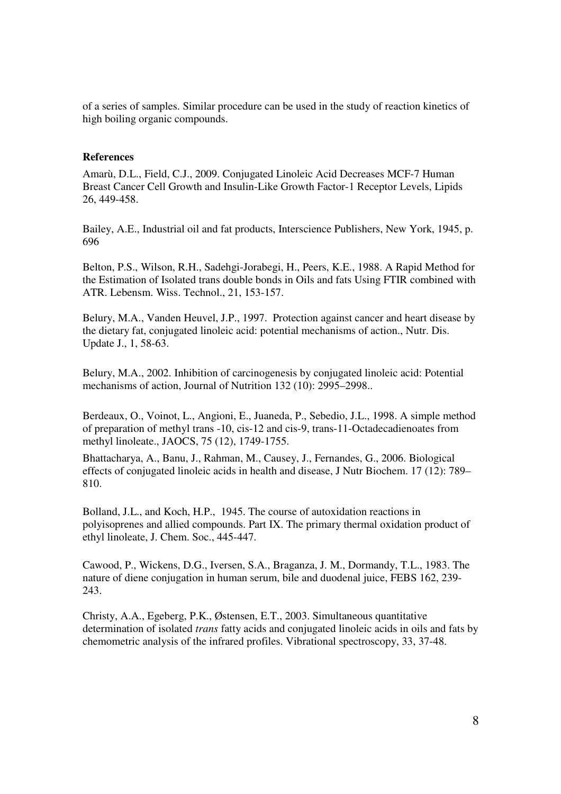of a series of samples. Similar procedure can be used in the study of reaction kinetics of high boiling organic compounds.

#### **References**

Amarù, D.L., Field, C.J., 2009. Conjugated Linoleic Acid Decreases MCF-7 Human Breast Cancer Cell Growth and Insulin-Like Growth Factor-1 Receptor Levels, Lipids 26, 449-458.

Bailey, A.E., Industrial oil and fat products, Interscience Publishers, New York, 1945, p. 696

Belton, P.S., Wilson, R.H., Sadehgi-Jorabegi, H., Peers, K.E., 1988. A Rapid Method for the Estimation of Isolated trans double bonds in Oils and fats Using FTIR combined with ATR. Lebensm. Wiss. Technol., 21, 153-157.

Belury, M.A., Vanden Heuvel, J.P., 1997. Protection against cancer and heart disease by the dietary fat, conjugated linoleic acid: potential mechanisms of action., Nutr. Dis. Update J., 1, 58-63.

Belury, M.A., 2002. Inhibition of carcinogenesis by conjugated linoleic acid: Potential mechanisms of action, Journal of Nutrition 132 (10): 2995–2998..

Berdeaux, O., Voinot, L., Angioni, E., Juaneda, P., Sebedio, J.L., 1998. A simple method of preparation of methyl trans -10, cis-12 and cis-9, trans-11-Octadecadienoates from methyl linoleate., JAOCS, 75 (12), 1749-1755.

Bhattacharya, A., Banu, J., Rahman, M., Causey, J., Fernandes, G., 2006. Biological effects of conjugated linoleic acids in health and disease, J Nutr Biochem. 17 (12): 789– 810.

Bolland, J.L., and Koch, H.P., 1945. The course of autoxidation reactions in polyisoprenes and allied compounds. Part IX. The primary thermal oxidation product of ethyl linoleate, J. Chem. Soc., 445-447.

Cawood, P., Wickens, D.G., Iversen, S.A., Braganza, J. M., Dormandy, T.L., 1983. The nature of diene conjugation in human serum, bile and duodenal juice, FEBS 162, 239- 243.

Christy, A.A., Egeberg, P.K., Østensen, E.T., 2003. Simultaneous quantitative determination of isolated *trans* fatty acids and conjugated linoleic acids in oils and fats by chemometric analysis of the infrared profiles. Vibrational spectroscopy, 33, 37-48.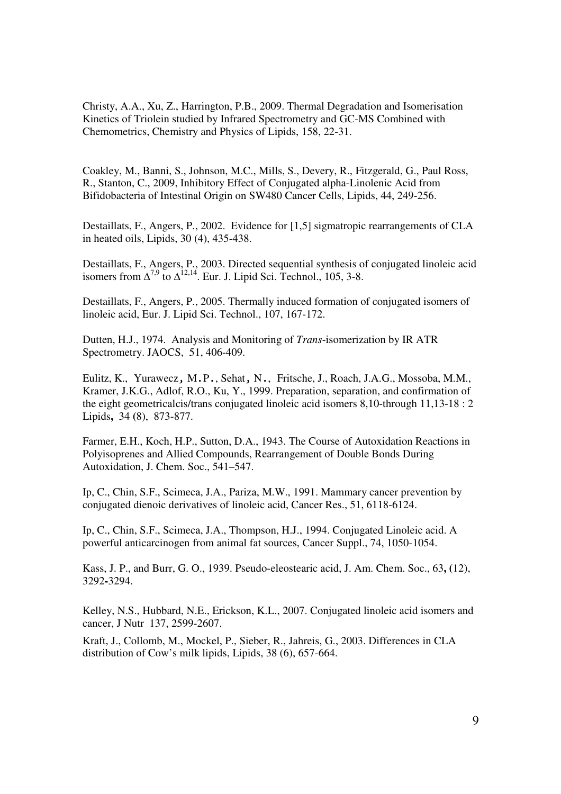Christy, A.A., Xu, Z., Harrington, P.B., 2009. Thermal Degradation and Isomerisation Kinetics of Triolein studied by Infrared Spectrometry and GC-MS Combined with Chemometrics, Chemistry and Physics of Lipids, 158, 22-31.

Coakley, M., Banni, S., Johnson, M.C., Mills, S., Devery, R., Fitzgerald, G., Paul Ross, R., Stanton, C., 2009, Inhibitory Effect of Conjugated alpha-Linolenic Acid from Bifidobacteria of Intestinal Origin on SW480 Cancer Cells, Lipids, 44, 249-256.

Destaillats, F., Angers, P., 2002. Evidence for [1,5] sigmatropic rearrangements of CLA in heated oils, Lipids, 30 (4), 435-438.

Destaillats, F., Angers, P., 2003. Directed sequential synthesis of conjugated linoleic acid isomers from  $\Delta^{7,9}$  to  $\Delta^{12,14}$ . Eur. J. Lipid Sci. Technol., 105, 3-8.

Destaillats, F., Angers, P., 2005. Thermally induced formation of conjugated isomers of linoleic acid, Eur. J. Lipid Sci. Technol., 107, 167-172.

Dutten, H.J., 1974. Analysis and Monitoring of *Trans*-isomerization by IR ATR Spectrometry. JAOCS, 51, 406-409.

Eulitz, K., Yurawecz, M.P., Sehat, N., Fritsche, J., Roach, J.A.G., Mossoba, M.M., Kramer, J.K.G., Adlof, R.O., Ku, Y., 1999. Preparation, separation, and confirmation of the eight geometricalcis/trans conjugated linoleic acid isomers 8,10-through 11,13-18 : 2 Lipids**,** 34 **(**8), 873-877.

Farmer, E.H., Koch, H.P., Sutton, D.A., 1943. The Course of Autoxidation Reactions in Polyisoprenes and Allied Compounds, Rearrangement of Double Bonds During Autoxidation, J. Chem. Soc., 541–547.

Ip, C., Chin, S.F., Scimeca, J.A., Pariza, M.W., 1991. Mammary cancer prevention by conjugated dienoic derivatives of linoleic acid, Cancer Res., 51, 6118-6124.

Ip, C., Chin, S.F., Scimeca, J.A., Thompson, H.J., 1994. Conjugated Linoleic acid. A powerful anticarcinogen from animal fat sources, Cancer Suppl., 74, 1050-1054.

Kass, J. P., and Burr, G. O., 1939. Pseudo-eleostearic acid, J. Am. Chem. Soc., 63**, (**12), 3292**-**3294.

Kelley, N.S., Hubbard, N.E., Erickson, K.L., 2007. Conjugated linoleic acid isomers and cancer, J Nutr 137, 2599-2607.

Kraft, J., Collomb, M., Mockel, P., Sieber, R., Jahreis, G., 2003. Differences in CLA distribution of Cow's milk lipids, Lipids, 38 (6), 657-664.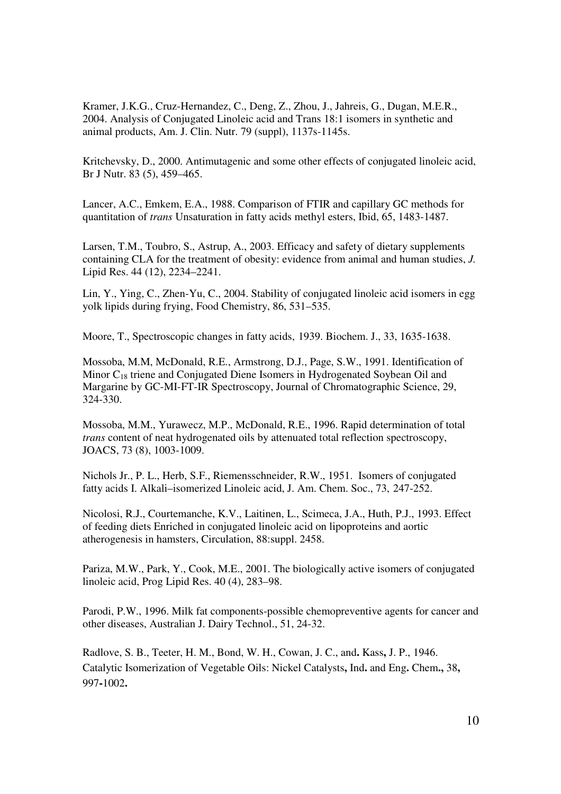Kramer, J.K.G., Cruz-Hernandez, C., Deng, Z., Zhou, J., Jahreis, G., Dugan, M.E.R., 2004. Analysis of Conjugated Linoleic acid and Trans 18:1 isomers in synthetic and animal products, Am. J. Clin. Nutr. 79 (suppl), 1137s-1145s.

Kritchevsky, D., 2000. Antimutagenic and some other effects of conjugated linoleic acid, Br J Nutr. 83 (5), 459–465.

Lancer, A.C., Emkem, E.A., 1988. Comparison of FTIR and capillary GC methods for quantitation of *trans* Unsaturation in fatty acids methyl esters, Ibid, 65, 1483-1487.

Larsen, T.M., Toubro, S., Astrup, A., 2003. Efficacy and safety of dietary supplements containing CLA for the treatment of obesity: evidence from animal and human studies, *J.*  Lipid Res. 44 (12), 2234–2241.

Lin, Y., Ying, C., Zhen-Yu, C., 2004. Stability of conjugated linoleic acid isomers in egg yolk lipids during frying, Food Chemistry, 86, 531–535.

Moore, T., Spectroscopic changes in fatty acids, 1939. Biochem. J., 33, 1635-1638.

Mossoba, M.M, McDonald, R.E., Armstrong, D.J., Page, S.W., 1991. Identification of Minor C18 triene and Conjugated Diene Isomers in Hydrogenated Soybean Oil and Margarine by GC-MI-FT-IR Spectroscopy, Journal of Chromatographic Science, 29, 324-330.

Mossoba, M.M., Yurawecz, M.P., McDonald, R.E., 1996. Rapid determination of total *trans* content of neat hydrogenated oils by attenuated total reflection spectroscopy, JOACS, 73 (8), 1003-1009.

Nichols Jr., P. L., Herb, S.F., Riemensschneider, R.W., 1951. Isomers of conjugated fatty acids I. Alkali–isomerized Linoleic acid, J. Am. Chem. Soc., 73, 247-252.

Nicolosi, R.J., Courtemanche, K.V., Laitinen, L., Scimeca, J.A., Huth, P.J., 1993. Effect of feeding diets Enriched in conjugated linoleic acid on lipoproteins and aortic atherogenesis in hamsters, Circulation, 88:suppl. 2458.

Pariza, M.W., Park, Y., Cook, M.E., 2001. The biologically active isomers of conjugated linoleic acid, Prog Lipid Res. 40 (4), 283–98.

Parodi, P.W., 1996. Milk fat components-possible chemopreventive agents for cancer and other diseases, Australian J. Dairy Technol., 51, 24-32.

Radlove, S. B., Teeter, H. M., Bond, W. H., Cowan, J. C., and**.** Kass**,** J. P., 1946. Catalytic Isomerization of Vegetable Oils: Nickel Catalysts**,** Ind**.** and Eng**.** Chem**.,** 38**,**  997**-**1002**.**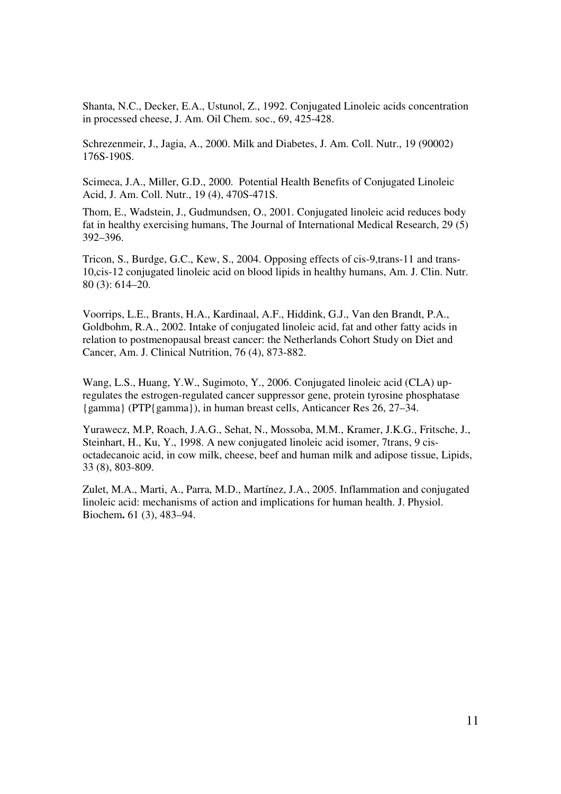Shanta, N.C., Decker, E.A., Ustunol, Z., 1992. Conjugated Linoleic acids concentration in processed cheese, J. Am. Oil Chem. soc., 69, 425-428.

Schrezenmeir, J., Jagia, A., 2000. Milk and Diabetes, J. Am. Coll. Nutr., 19 (90002) 176S-190S.

Scimeca, J.A., Miller, G.D., 2000. Potential Health Benefits of Conjugated Linoleic Acid, J. Am. Coll. Nutr., 19 (4), 470S-471S.

Thom, E., Wadstein, J., Gudmundsen, O., 2001. Conjugated linoleic acid reduces body fat in healthy exercising humans, The Journal of International Medical Research, 29 (5) 392–396.

Tricon, S., Burdge, G.C., Kew, S., 2004. Opposing effects of cis-9,trans-11 and trans-10,cis-12 conjugated linoleic acid on blood lipids in healthy humans, Am. J. Clin. Nutr. 80 (3): 614–20.

Voorrips, L.E., Brants, H.A., Kardinaal, A.F., Hiddink, G.J., Van den Brandt, P.A., Goldbohm, R.A., 2002. Intake of conjugated linoleic acid, fat and other fatty acids in relation to postmenopausal breast cancer: the Netherlands Cohort Study on Diet and Cancer, Am. J. Clinical Nutrition, 76 (4), 873-882.

Wang, L.S., Huang, Y.W., Sugimoto, Y., 2006. Conjugated linoleic acid (CLA) upregulates the estrogen-regulated cancer suppressor gene, protein tyrosine phosphatase {gamma} (PTP{gamma}), in human breast cells, Anticancer Res 26, 27–34.

Yurawecz, M.P, Roach, J.A.G., Sehat, N., Mossoba, M.M., Kramer, J.K.G., Fritsche, J., Steinhart, H., Ku, Y., 1998. A new conjugated linoleic acid isomer, 7trans, 9 cisoctadecanoic acid, in cow milk, cheese, beef and human milk and adipose tissue, Lipids, 33 (8), 803-809.

Zulet, M.A., Marti, A., Parra, M.D., Martínez, J.A., 2005. Inflammation and conjugated linoleic acid: mechanisms of action and implications for human health. J. Physiol. Biochem**.** 61 (3), 483–94.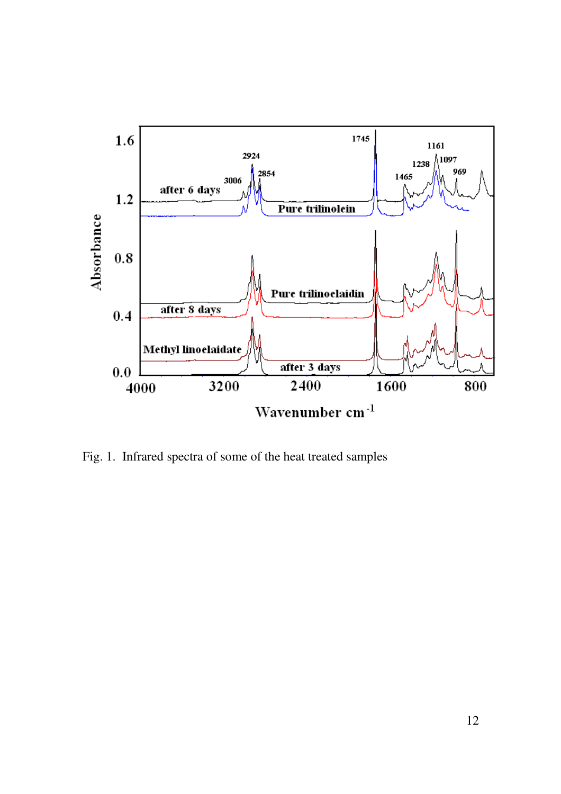

Fig. 1. Infrared spectra of some of the heat treated samples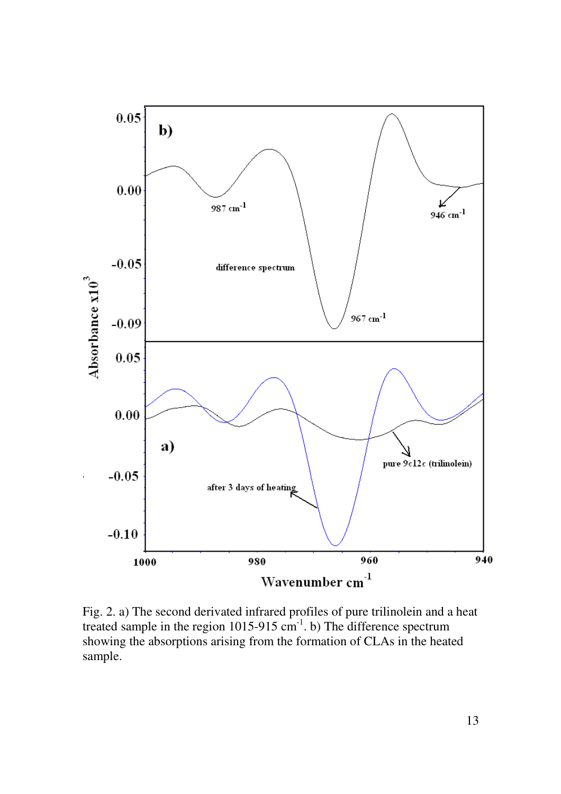

Fig. 2. a) The second derivated infrared profiles of pure trilinolein and a heat treated sample in the region  $1015-915$  cm<sup>-1</sup>. b) The difference spectrum showing the absorptions arising from the formation of CLAs in the heated sample.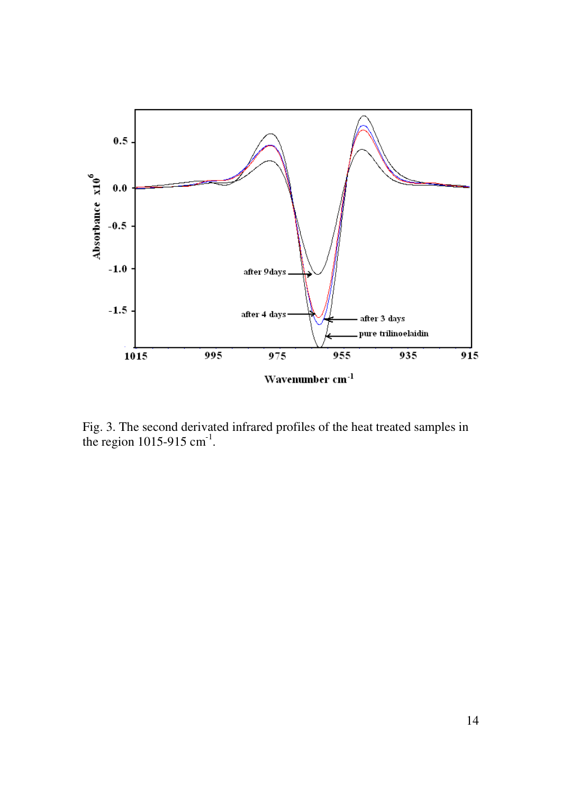

Fig. 3. The second derivated infrared profiles of the heat treated samples in the region  $1015-915$  cm<sup>-1</sup>.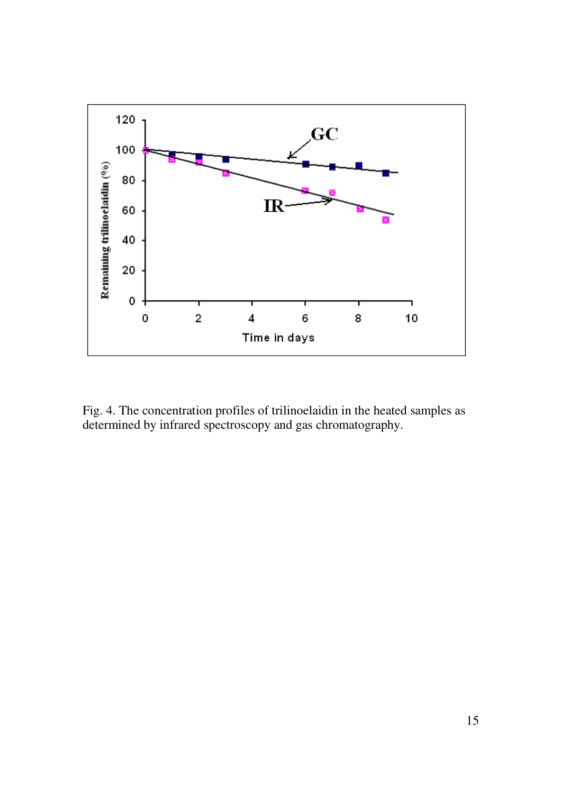

Fig. 4. The concentration profiles of trilinoelaidin in the heated samples as determined by infrared spectroscopy and gas chromatography.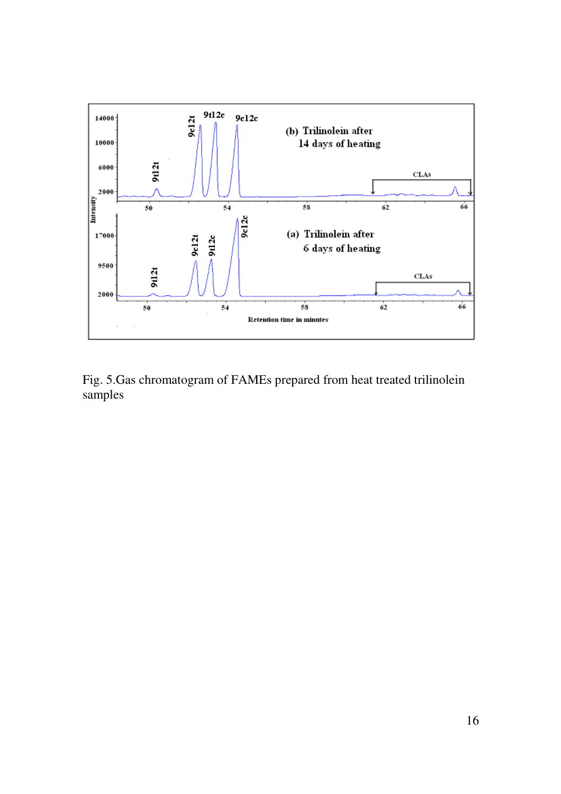

Fig. 5.Gas chromatogram of FAMEs prepared from heat treated trilinolein samples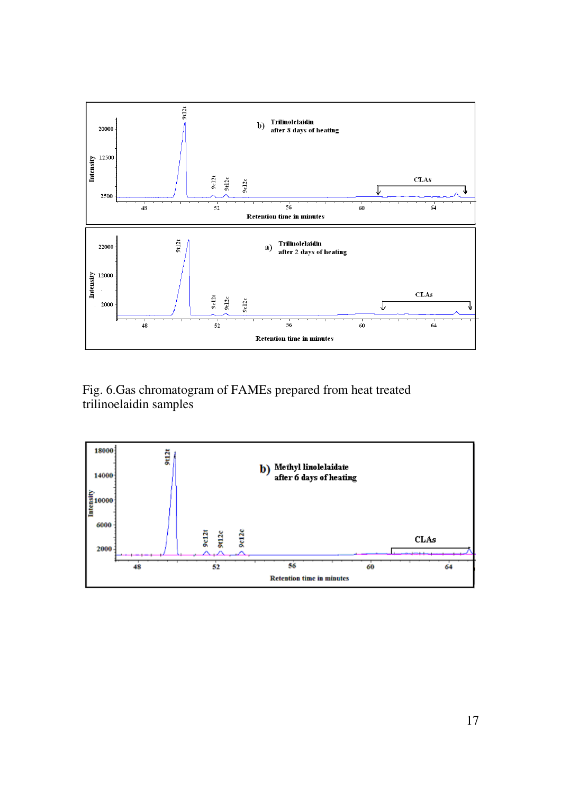

Fig. 6.Gas chromatogram of FAMEs prepared from heat treated trilinoelaidin samples

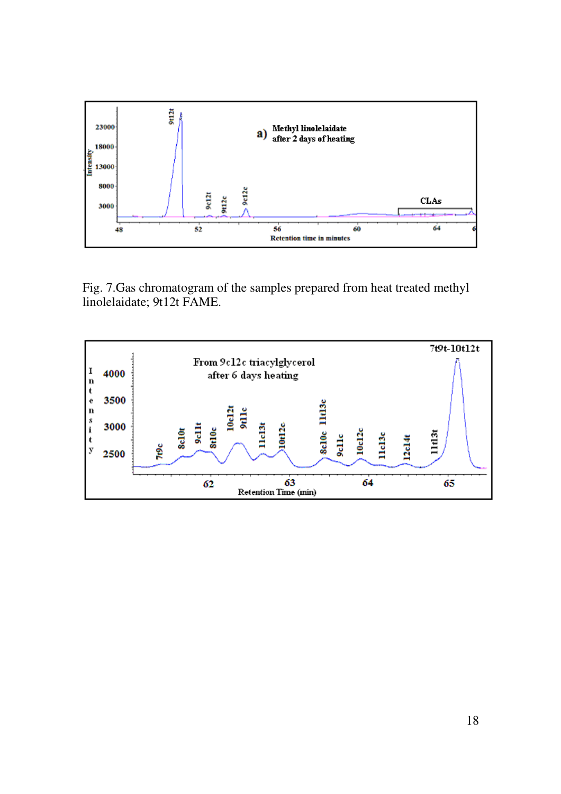

Fig. 7.Gas chromatogram of the samples prepared from heat treated methyl linolelaidate; 9t12t FAME.

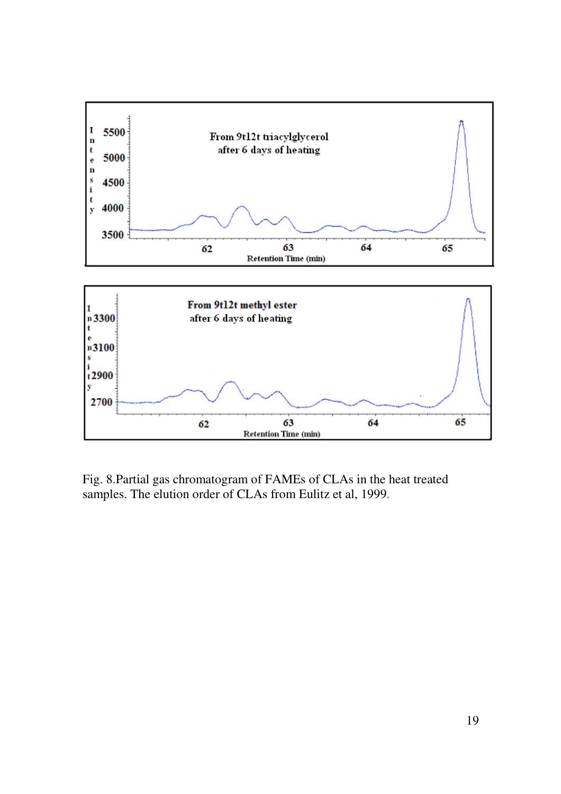

Fig. 8.Partial gas chromatogram of FAMEs of CLAs in the heat treated samples. The elution order of CLAs from Eulitz et al, 1999.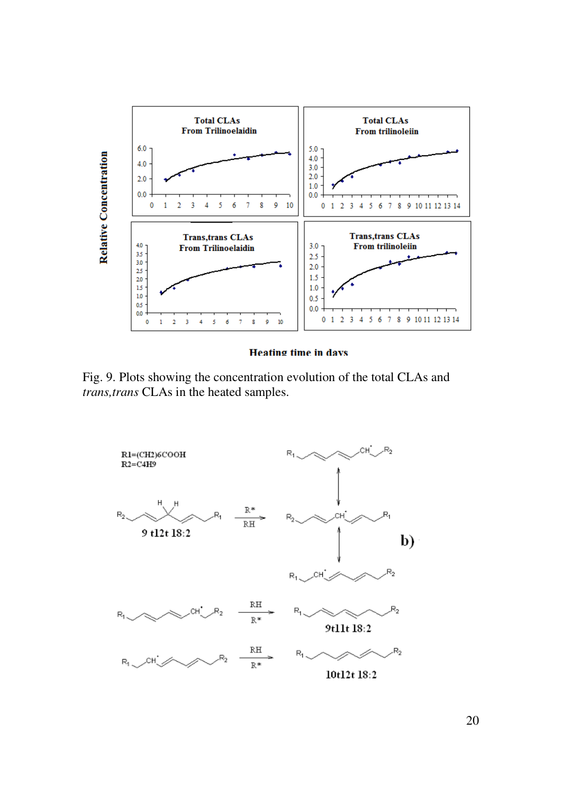

**Heating time in days** 

Fig. 9. Plots showing the concentration evolution of the total CLAs and *trans,trans* CLAs in the heated samples.

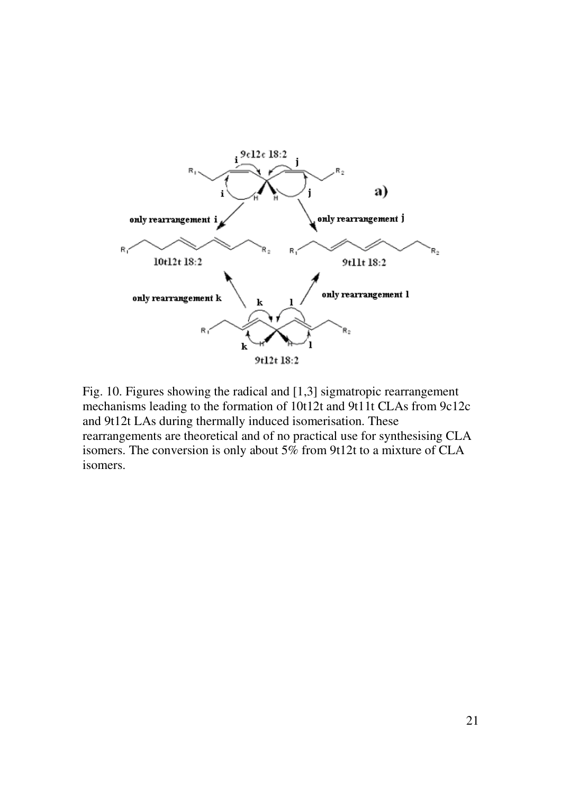

Fig. 10. Figures showing the radical and [1,3] sigmatropic rearrangement mechanisms leading to the formation of 10t12t and 9t11t CLAs from 9c12c and 9t12t LAs during thermally induced isomerisation. These rearrangements are theoretical and of no practical use for synthesising CLA isomers. The conversion is only about 5% from 9t12t to a mixture of CLA isomers.